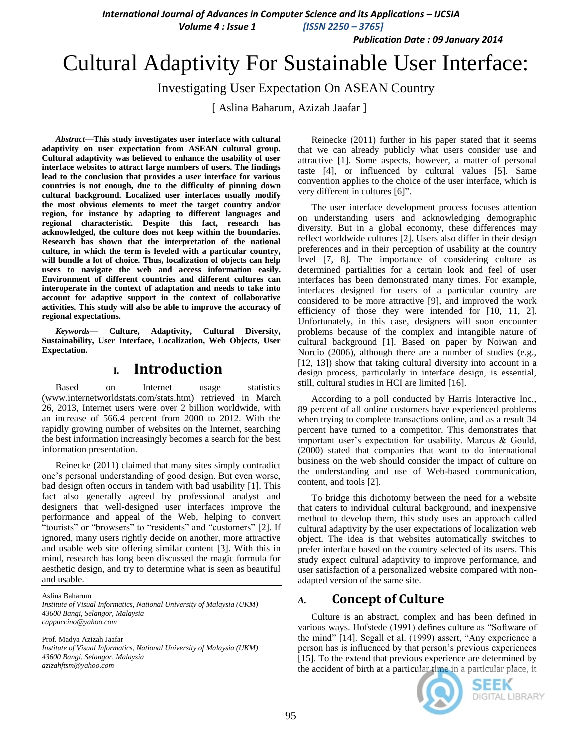*International Journal of Advances in Computer Science and its Applications – IJCSIA* 

*Volume 4 : Issue 1 [ISSN 2250 – 3765]*

*Publication Date : 09 January 2014*

# Cultural Adaptivity For Sustainable User Interface:

Investigating User Expectation On ASEAN Country

[ Aslina Baharum, Azizah Jaafar ]

*Abstract—***This study investigates user interface with cultural adaptivity on user expectation from ASEAN cultural group. Cultural adaptivity was believed to enhance the usability of user interface websites to attract large numbers of users. The findings lead to the conclusion that provides a user interface for various countries is not enough, due to the difficulty of pinning down cultural background. Localized user interfaces usually modify the most obvious elements to meet the target country and/or region, for instance by adapting to different languages and regional characteristic. Despite this fact, research has acknowledged, the culture does not keep within the boundaries. Research has shown that the interpretation of the national culture, in which the term is leveled with a particular country, will bundle a lot of choice. Thus, localization of objects can help users to navigate the web and access information easily. Environment of different countries and different cultures can interoperate in the context of adaptation and needs to take into account for adaptive support in the context of collaborative activities. This study will also be able to improve the accuracy of regional expectations.**

*Keywords*— **Culture, Adaptivity, Cultural Diversity, Sustainability, User Interface, Localization, Web Objects, User Expectation.**

### **I. Introduction**

Based on Internet usage statistics (www.internetworldstats.com/stats.htm) retrieved in March 26, 2013, Internet users were over 2 billion worldwide, with an increase of 566.4 percent from 2000 to 2012. With the rapidly growing number of websites on the Internet, searching the best information increasingly becomes a search for the best information presentation.

Reinecke (2011) claimed that many sites simply contradict one's personal understanding of good design. But even worse, bad design often occurs in tandem with bad usability [1]. This fact also generally agreed by professional analyst and designers that well-designed user interfaces improve the performance and appeal of the Web, helping to convert "tourists" or "browsers" to "residents" and "customers" [2]. If ignored, many users rightly decide on another, more attractive and usable web site offering similar content [3]. With this in mind, research has long been discussed the magic formula for aesthetic design, and try to determine what is seen as beautiful and usable.

Aslina Baharum *Institute of Visual Informatics, National University of Malaysia (UKM)*

*43600 Bangi, Selangor, Malaysia cappuccino@yahoo.com*

Prof. Madya Azizah Jaafar *Institute of Visual Informatics, National University of Malaysia (UKM) 43600 Bangi, Selangor, Malaysia azizahftsm@yahoo.com*

Reinecke (2011) further in his paper stated that it seems that we can already publicly what users consider use and attractive [1]. Some aspects, however, a matter of personal taste [4], or influenced by cultural values [5]. Same convention applies to the choice of the user interface, which is very different in cultures [6]".

The user interface development process focuses attention on understanding users and acknowledging demographic diversity. But in a global economy, these differences may reflect worldwide cultures [2]. Users also differ in their design preferences and in their perception of usability at the country level [7, 8]. The importance of considering culture as determined partialities for a certain look and feel of user interfaces has been demonstrated many times. For example, interfaces designed for users of a particular country are considered to be more attractive [9], and improved the work efficiency of those they were intended for [10, 11, 2]. Unfortunately, in this case, designers will soon encounter problems because of the complex and intangible nature of cultural background [1]. Based on paper by Noiwan and Norcio (2006), although there are a number of studies (e.g., [12, 13]) show that taking cultural diversity into account in a design process, particularly in interface design, is essential, still, cultural studies in HCI are limited [16].

According to a poll conducted by Harris Interactive Inc., 89 percent of all online customers have experienced problems when trying to complete transactions online, and as a result 34 percent have turned to a competitor. This demonstrates that important user's expectation for usability. Marcus & Gould, (2000) stated that companies that want to do international business on the web should consider the impact of culture on the understanding and use of Web-based communication, content, and tools [2].

To bridge this dichotomy between the need for a website that caters to individual cultural background, and inexpensive method to develop them, this study uses an approach called cultural adaptivity by the user expectations of localization web object. The idea is that websites automatically switches to prefer interface based on the country selected of its users. This study expect cultural adaptivity to improve performance, and user satisfaction of a personalized website compared with nonadapted version of the same site.

## *A.* **Concept of Culture**

Culture is an abstract, complex and has been defined in various ways. Hofstede (1991) defines culture as "Software of the mind" [14]. Segall et al. (1999) assert, "Any experience a person has is influenced by that person's previous experiences [15]. To the extend that previous experience are determined by the accident of birth at a particular time in a particular place, it



SEEK **DIGITAL LIBRARY**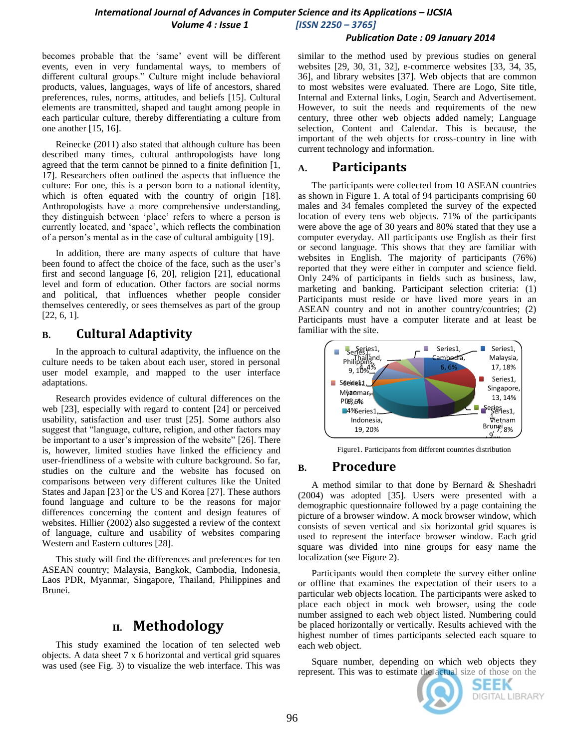#### *Publication Date : 09 January 2014*

becomes probable that the 'same' event will be different events, even in very fundamental ways, to members of different cultural groups." Culture might include behavioral products, values, languages, ways of life of ancestors, shared preferences, rules, norms, attitudes, and beliefs [15]. Cultural elements are transmitted, shaped and taught among people in each particular culture, thereby differentiating a culture from one another [15, 16].

Reinecke (2011) also stated that although culture has been described many times, cultural anthropologists have long agreed that the term cannot be pinned to a finite definition [1, 17]. Researchers often outlined the aspects that influence the culture: For one, this is a person born to a national identity, which is often equated with the country of origin [18]. Anthropologists have a more comprehensive understanding, they distinguish between 'place' refers to where a person is currently located, and ‗space', which reflects the combination of a person's mental as in the case of cultural ambiguity [19].

In addition, there are many aspects of culture that have been found to affect the choice of the face, such as the user's first and second language [6, 20], religion [21], educational level and form of education. Other factors are social norms and political, that influences whether people consider themselves centeredly, or sees themselves as part of the group [22, 6, 1].

## **B. Cultural Adaptivity**

In the approach to cultural adaptivity, the influence on the culture needs to be taken about each user, stored in personal user model example, and mapped to the user interface adaptations.

Research provides evidence of cultural differences on the web [23], especially with regard to content [24] or perceived usability, satisfaction and user trust [25]. Some authors also suggest that "language, culture, religion, and other factors may be important to a user's impression of the website" [26]. There is, however, limited studies have linked the efficiency and user-friendliness of a website with culture background. So far, studies on the culture and the website has focused on comparisons between very different cultures like the United States and Japan [23] or the US and Korea [27]. These authors found language and culture to be the reasons for major differences concerning the content and design features of websites. Hillier (2002) also suggested a review of the context of language, culture and usability of websites comparing Western and Eastern cultures [28].

This study will find the differences and preferences for ten ASEAN country; Malaysia, Bangkok, Cambodia, Indonesia, Laos PDR, Myanmar, Singapore, Thailand, Philippines and Brunei.

# **II. Methodology**

This study examined the location of ten selected web objects. A data sheet 7 x 6 horizontal and vertical grid squares was used (see Fig. 3) to visualize the web interface. This was similar to the method used by previous studies on general websites [29, 30, 31, 32], e-commerce websites [33, 34, 35, 36], and library websites [37]. Web objects that are common to most websites were evaluated. There are Logo, Site title, Internal and External links, Login, Search and Advertisement. However, to suit the needs and requirements of the new century, three other web objects added namely; Language selection, Content and Calendar. This is because, the important of the web objects for cross-country in line with current technology and information.

## **A. Participants**

The participants were collected from 10 ASEAN countries as shown in Figure 1. A total of 94 participants comprising 60 males and 34 females completed the survey of the expected location of every tens web objects. 71% of the participants were above the age of 30 years and 80% stated that they use a computer everyday. All participants use English as their first or second language. This shows that they are familiar with websites in English. The majority of participants (76%) reported that they were either in computer and science field. Only 24% of participants in fields such as business, law, marketing and banking. Participant selection criteria: (1) Participants must reside or have lived more years in an ASEAN country and not in another country/countries; (2) Participants must have a computer literate and at least be familiar with the site.



Figure1. Participants from different countries distribution

## **B. Procedure**

A method similar to that done by Bernard & Sheshadri (2004) was adopted [35]. Users were presented with a demographic questionnaire followed by a page containing the picture of a browser window. A mock browser window, which consists of seven vertical and six horizontal grid squares is used to represent the interface browser window. Each grid square was divided into nine groups for easy name the localization (see Figure 2).

Participants would then complete the survey either online or offline that examines the expectation of their users to a particular web objects location. The participants were asked to place each object in mock web browser, using the code number assigned to each web object listed. Numbering could be placed horizontally or vertically. Results achieved with the highest number of times participants selected each square to each web object.

Square number, depending on which web objects they represent. This was to estimate the actual size of those on the



SEEK DIGITAL LIBRARY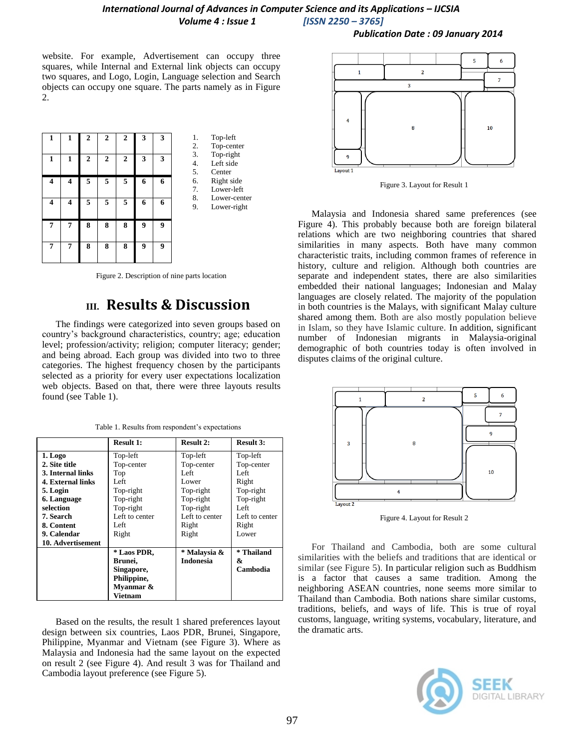website. For example, Advertisement can occupy three squares, while Internal and External link objects can occupy two squares, and Logo, Login, Language selection and Search objects can occupy one square. The parts namely as in Figure



2.

1. Top-left 2. Top-center 3. Top-right 4. Left side<br>5. Center 5. Center<br>6 Right s Right side 7. Lower-left 8. Lower-center 9. Lower-right

Figure 2. Description of nine parts location

# **III. Results & Discussion**

The findings were categorized into seven groups based on country's background characteristics, country; age; education level; profession/activity; religion; computer literacy; gender; and being abroad. Each group was divided into two to three categories. The highest frequency chosen by the participants selected as a priority for every user expectations localization web objects. Based on that, there were three layouts results found (see Table 1).

|  |  |  |  |  |  | Table 1. Results from respondent's expectations |
|--|--|--|--|--|--|-------------------------------------------------|
|--|--|--|--|--|--|-------------------------------------------------|

|                          | <b>Result 1:</b> | <b>Result 2:</b> | <b>Result 3:</b> |
|--------------------------|------------------|------------------|------------------|
| 1. Logo                  | Top-left         | Top-left         | Top-left         |
| 2. Site title            | Top-center       | Top-center       | Top-center       |
| 3. Internal links        | Top              | Left             | Left             |
| <b>4. External links</b> | Left             | Lower            | Right            |
| 5. Login                 | Top-right        | Top-right        | Top-right        |
| 6. Language              | Top-right        | Top-right        | Top-right        |
| selection                | Top-right        | Top-right        | Left             |
| 7. Search                | Left to center   | Left to center   | Left to center   |
| 8. Content               | Left             | Right            | Right            |
| 9. Calendar              | Right            | Right            | Lower            |
| 10. Advertisement        |                  |                  |                  |
|                          | * Laos PDR,      | * Malaysia &     | * Thailand       |
|                          | Brunei,          | <b>Indonesia</b> | &                |
|                          | Singapore,       |                  | Cambodia         |
|                          | Philippine,      |                  |                  |
|                          | Myanmar &        |                  |                  |
|                          | Vietnam          |                  |                  |

Based on the results, the result 1 shared preferences layout design between six countries, Laos PDR, Brunei, Singapore, Philippine, Myanmar and Vietnam (see Figure 3). Where as Malaysia and Indonesia had the same layout on the expected on result 2 (see Figure 4). And result 3 was for Thailand and Cambodia layout preference (see Figure 5).





Figure 3. Layout for Result 1

Malaysia and Indonesia shared same preferences (see Figure 4). This probably because both are foreign bilateral relations which are two neighboring countries that shared similarities in many aspects. Both have many common characteristic traits, including common frames of reference in history, culture and religion. Although both countries are separate and independent states, there are also similarities embedded their national languages; Indonesian and [Malay](http://en.wikipedia.org/wiki/Malay_language)  [languages](http://en.wikipedia.org/wiki/Malay_language) are closely related. The majority of the population in both countries is the Malays, with significant [Malay](http://en.wikipedia.org/wiki/Malays_(ethnic_group)) culture shared among them. Both are also mostly population believe in Islam, so they have Islamic culture. In addition, significant number of Indonesian migrants in Malaysia-original demographic of both countries today is often involved in disputes claims of the original culture.



Figure 4. Layout for Result 2

For Thailand and Cambodia, both are some cultural similarities with the beliefs and traditions that are identical or similar (see Figure 5). In particular religion such as Buddhism is a factor that causes a same tradition. Among the neighboring ASEAN countries, none seems more similar to Thailand than Cambodia. Both nations share similar customs, traditions, beliefs, and ways of life. This is true of royal customs, language, writing systems, vocabulary, literature, and the dramatic arts.

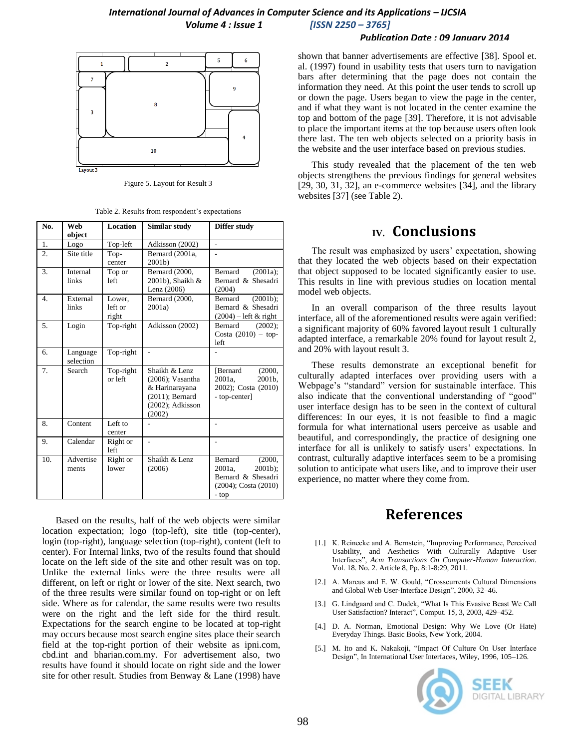#### *Publication Date : 09 January 2014*



Figure 5. Layout for Result 3

|  |  | Table 2. Results from respondent's expectations |
|--|--|-------------------------------------------------|
|  |  |                                                 |

| No.              | Web                   | Location          | Similar study       | Differ study            |
|------------------|-----------------------|-------------------|---------------------|-------------------------|
|                  | object                |                   |                     |                         |
| 1.               | Logo                  | Top-left          | Adkisson (2002)     | L.                      |
| $\overline{2}$ . | Site title            | Top-              | Bernard (2001a,     |                         |
|                  |                       | center            | $2001b$ )           |                         |
| 3.               | Internal              | Top or            | Bernard (2000,      | $(2001a)$ :<br>Bernard  |
|                  | links                 | left              | 2001b), Shaikh &    | Bernard & Shesadri      |
|                  |                       |                   | Lenz (2006)         | (2004)                  |
| $\overline{4}$ . | External              | Lower,            | Bernard (2000,      | $(2001b)$ ;<br>Bernard  |
|                  | links                 | left or           | 2001a)              | Bernard & Shesadri      |
|                  |                       | right             |                     | $(2004)$ – left & right |
| 5.               | Login                 | Top-right         | Adkisson (2002)     | Bernard<br>$(2002)$ ;   |
|                  |                       |                   |                     | Costa $(2010)$ - top-   |
|                  |                       |                   |                     | left                    |
| 6.               | Language<br>selection | Top-right         | L.                  |                         |
| 7.               | Search                | Top-right         | Shaikh & Lenz       | (2000,<br>[Bernard      |
|                  |                       | or left           | $(2006)$ ; Vasantha | 2001a.<br>2001b.        |
|                  |                       |                   | & Harinarayana      | 2002); Costa (2010)     |
|                  |                       |                   | $(2011)$ ; Bernard  | - top-center]           |
|                  |                       |                   | $(2002)$ ; Adkisson |                         |
|                  |                       |                   | (2002)              |                         |
| 8.               | Content               | Left to           |                     |                         |
|                  |                       | center            |                     |                         |
| 9.               | Calendar              | Right or<br>left  | L.                  |                         |
| 10.              | Advertise             |                   | Shaikh & Lenz       | Bernard<br>(2000,       |
|                  | ments                 | Right or<br>lower | (2006)              | 2001a.<br>$2001b$ :     |
|                  |                       |                   |                     | Bernard & Shesadri      |
|                  |                       |                   |                     |                         |
|                  |                       |                   |                     | (2004); Costa (2010)    |
|                  |                       |                   |                     | - top                   |

Based on the results, half of the web objects were similar location expectation; logo (top-left), site title (top-center), login (top-right), language selection (top-right), content (left to center). For Internal links, two of the results found that should locate on the left side of the site and other result was on top. Unlike the external links were the three results were all different, on left or right or lower of the site. Next search, two of the three results were similar found on top-right or on left side. Where as for calendar, the same results were two results were on the right and the left side for the third result. Expectations for the search engine to be located at top-right may occurs because most search engine sites place their search field at the top-right portion of their website as ipni.com, cbd.int and bharian.com.my. For advertisement also, two results have found it should locate on right side and the lower site for other result. Studies from Benway & Lane (1998) have shown that banner advertisements are effective [38]. Spool et. al. (1997) found in usability tests that users turn to navigation bars after determining that the page does not contain the information they need. At this point the user tends to scroll up or down the page. Users began to view the page in the center, and if what they want is not located in the center examine the top and bottom of the page [39]. Therefore, it is not advisable to place the important items at the top because users often look there last. The ten web objects selected on a priority basis in the website and the user interface based on previous studies.

This study revealed that the placement of the ten web objects strengthens the previous findings for general websites [29, 30, 31, 32], an e-commerce websites [34], and the library websites [37] (see Table 2).

# **IV. Conclusions**

The result was emphasized by users' expectation, showing that they located the web objects based on their expectation that object supposed to be located significantly easier to use. This results in line with previous studies on location mental model web objects.

In an overall comparison of the three results layout interface, all of the aforementioned results were again verified: a significant majority of 60% favored layout result 1 culturally adapted interface, a remarkable 20% found for layout result 2, and 20% with layout result 3.

These results demonstrate an exceptional benefit for culturally adapted interfaces over providing users with a Webpage's "standard" version for sustainable interface. This also indicate that the conventional understanding of "good" user interface design has to be seen in the context of cultural differences: In our eyes, it is not feasible to find a magic formula for what international users perceive as usable and beautiful, and correspondingly, the practice of designing one interface for all is unlikely to satisfy users' expectations. In contrast, culturally adaptive interfaces seem to be a promising solution to anticipate what users like, and to improve their user experience, no matter where they come from.

## **References**

- [1.] K. Reinecke and A. Bernstein, "Improving Performance, Perceived Usability, and Aesthetics With Culturally Adaptive User Interfaces‖, *Acm Transactions On Computer-Human Interaction.* Vol. 18. No. 2. Article 8, Pp. 8:1-8:29, 2011.
- [2.] A. Marcus and E. W. Gould, "Crosscurrents Cultural Dimensions" and Global Web User-Interface Design", 2000, 32-46.
- [3.] G. Lindgaard and C. Dudek, "What Is This Evasive Beast We Call User Satisfaction? Interact", Comput. 15, 3, 2003, 429-452.
- [4.] D. A. Norman, Emotional Design: Why We Love (Or Hate) Everyday Things. Basic Books, New York, 2004.
- [5.] M. Ito and K. Nakakoji, "Impact Of Culture On User Interface Design", In International User Interfaces, Wiley, 1996, 105-126.